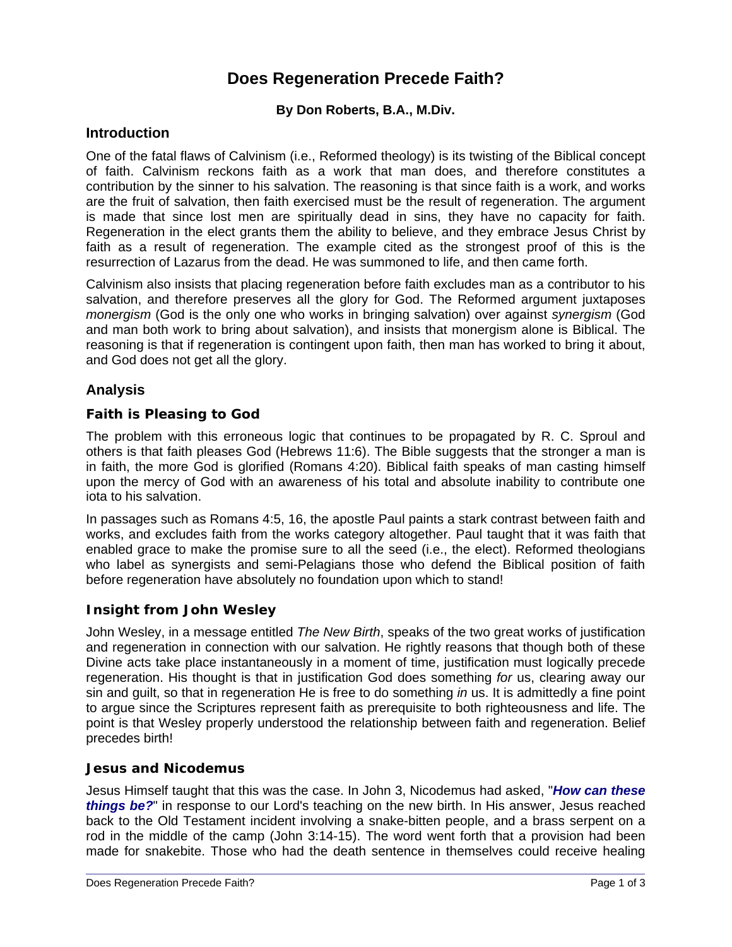# **Does Regeneration Precede Faith?**

# **By Don Roberts, B.A., M.Div.**

# **Introduction**

One of the fatal flaws of Calvinism (i.e., Reformed theology) is its twisting of the Biblical concept of faith. Calvinism reckons faith as a work that man does, and therefore constitutes a contribution by the sinner to his salvation. The reasoning is that since faith is a work, and works are the fruit of salvation, then faith exercised must be the result of regeneration. The argument is made that since lost men are spiritually dead in sins, they have no capacity for faith. Regeneration in the elect grants them the ability to believe, and they embrace Jesus Christ by faith as a result of regeneration. The example cited as the strongest proof of this is the resurrection of Lazarus from the dead. He was summoned to life, and then came forth.

Calvinism also insists that placing regeneration before faith excludes man as a contributor to his salvation, and therefore preserves all the glory for God. The Reformed argument juxtaposes *monergism* (God is the only one who works in bringing salvation) over against *synergism* (God and man both work to bring about salvation), and insists that monergism alone is Biblical. The reasoning is that if regeneration is contingent upon faith, then man has worked to bring it about, and God does not get all the glory.

# **Analysis**

# **Faith is Pleasing to God**

The problem with this erroneous logic that continues to be propagated by R. C. Sproul and others is that faith pleases God (Hebrews 11:6). The Bible suggests that the stronger a man is in faith, the more God is glorified (Romans 4:20). Biblical faith speaks of man casting himself upon the mercy of God with an awareness of his total and absolute inability to contribute one iota to his salvation.

In passages such as Romans 4:5, 16, the apostle Paul paints a stark contrast between faith and works, and excludes faith from the works category altogether. Paul taught that it was faith that enabled grace to make the promise sure to all the seed (i.e., the elect). Reformed theologians who label as synergists and semi-Pelagians those who defend the Biblical position of faith before regeneration have absolutely no foundation upon which to stand!

# **Insight from John Wesley**

John Wesley, in a message entitled *The New Birth*, speaks of the two great works of justification and regeneration in connection with our salvation. He rightly reasons that though both of these Divine acts take place instantaneously in a moment of time, justification must logically precede regeneration. His thought is that in justification God does something *for* us, clearing away our sin and guilt, so that in regeneration He is free to do something *in* us. It is admittedly a fine point to argue since the Scriptures represent faith as prerequisite to both righteousness and life. The point is that Wesley properly understood the relationship between faith and regeneration. Belief precedes birth!

#### **Jesus and Nicodemus**

Jesus Himself taught that this was the case. In John 3, Nicodemus had asked, "*How can these things be?*" in response to our Lord's teaching on the new birth. In His answer, Jesus reached back to the Old Testament incident involving a snake-bitten people, and a brass serpent on a rod in the middle of the camp (John 3:14-15). The word went forth that a provision had been made for snakebite. Those who had the death sentence in themselves could receive healing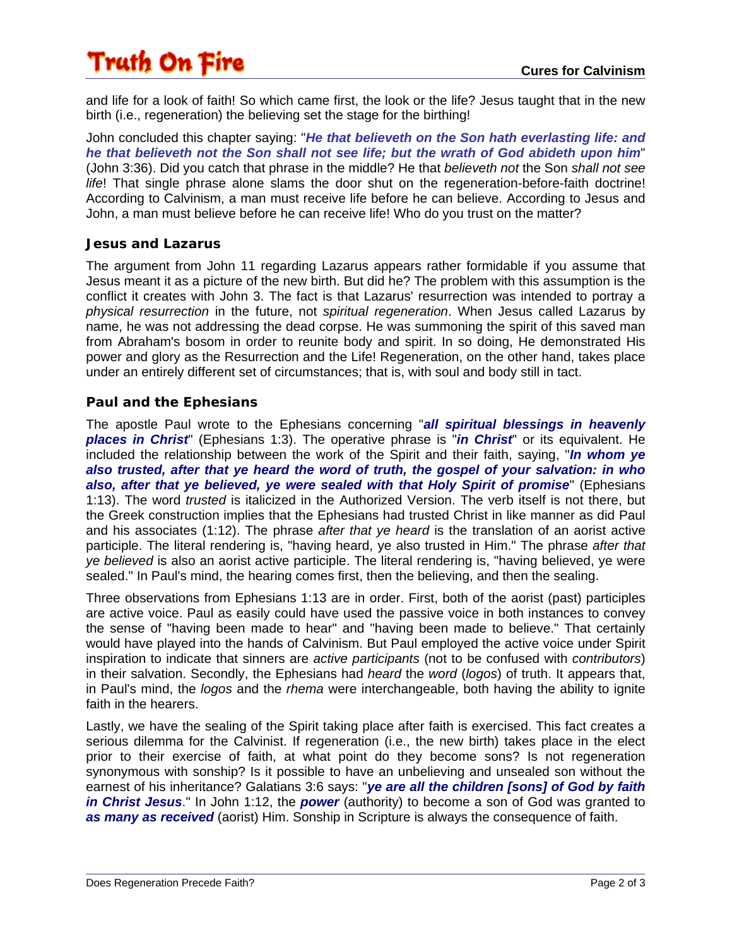# Truth On Fire

and life for a look of faith! So which came first, the look or the life? Jesus taught that in the new birth (i.e., regeneration) the believing set the stage for the birthing!

John concluded this chapter saying: "*He that believeth on the Son hath everlasting life: and he that believeth not the Son shall not see life; but the wrath of God abideth upon him*" (John 3:36). Did you catch that phrase in the middle? He that *believeth not* the Son *shall not see life*! That single phrase alone slams the door shut on the regeneration-before-faith doctrine! According to Calvinism, a man must receive life before he can believe. According to Jesus and John, a man must believe before he can receive life! Who do you trust on the matter?

# **Jesus and Lazarus**

The argument from John 11 regarding Lazarus appears rather formidable if you assume that Jesus meant it as a picture of the new birth. But did he? The problem with this assumption is the conflict it creates with John 3. The fact is that Lazarus' resurrection was intended to portray a *physical resurrection* in the future, not *spiritual regeneration*. When Jesus called Lazarus by name, he was not addressing the dead corpse. He was summoning the spirit of this saved man from Abraham's bosom in order to reunite body and spirit. In so doing, He demonstrated His power and glory as the Resurrection and the Life! Regeneration, on the other hand, takes place under an entirely different set of circumstances; that is, with soul and body still in tact.

# **Paul and the Ephesians**

The apostle Paul wrote to the Ephesians concerning "*all spiritual blessings in heavenly places in Christ*" (Ephesians 1:3). The operative phrase is "*in Christ*" or its equivalent. He included the relationship between the work of the Spirit and their faith, saying, "*In whom ye also trusted, after that ye heard the word of truth, the gospel of your salvation: in who also, after that ye believed, ye were sealed with that Holy Spirit of promise*" (Ephesians 1:13). The word *trusted* is italicized in the Authorized Version. The verb itself is not there, but the Greek construction implies that the Ephesians had trusted Christ in like manner as did Paul and his associates (1:12). The phrase *after that ye heard* is the translation of an aorist active participle. The literal rendering is, "having heard, ye also trusted in Him." The phrase *after that ye believed* is also an aorist active participle. The literal rendering is, "having believed, ye were sealed." In Paul's mind, the hearing comes first, then the believing, and then the sealing.

Three observations from Ephesians 1:13 are in order. First, both of the aorist (past) participles are active voice. Paul as easily could have used the passive voice in both instances to convey the sense of "having been made to hear" and "having been made to believe." That certainly would have played into the hands of Calvinism. But Paul employed the active voice under Spirit inspiration to indicate that sinners are *active participants* (not to be confused with *contributors*) in their salvation. Secondly, the Ephesians had *heard* the *word* (*logos*) of truth. It appears that, in Paul's mind, the *logos* and the *rhema* were interchangeable, both having the ability to ignite faith in the hearers.

Lastly, we have the sealing of the Spirit taking place after faith is exercised. This fact creates a serious dilemma for the Calvinist. If regeneration (i.e., the new birth) takes place in the elect prior to their exercise of faith, at what point do they become sons? Is not regeneration synonymous with sonship? Is it possible to have an unbelieving and unsealed son without the earnest of his inheritance? Galatians 3:6 says: "*ye are all the children [sons] of God by faith in Christ Jesus*." In John 1:12, the *power* (authority) to become a son of God was granted to *as many as received* (aorist) Him. Sonship in Scripture is always the consequence of faith.